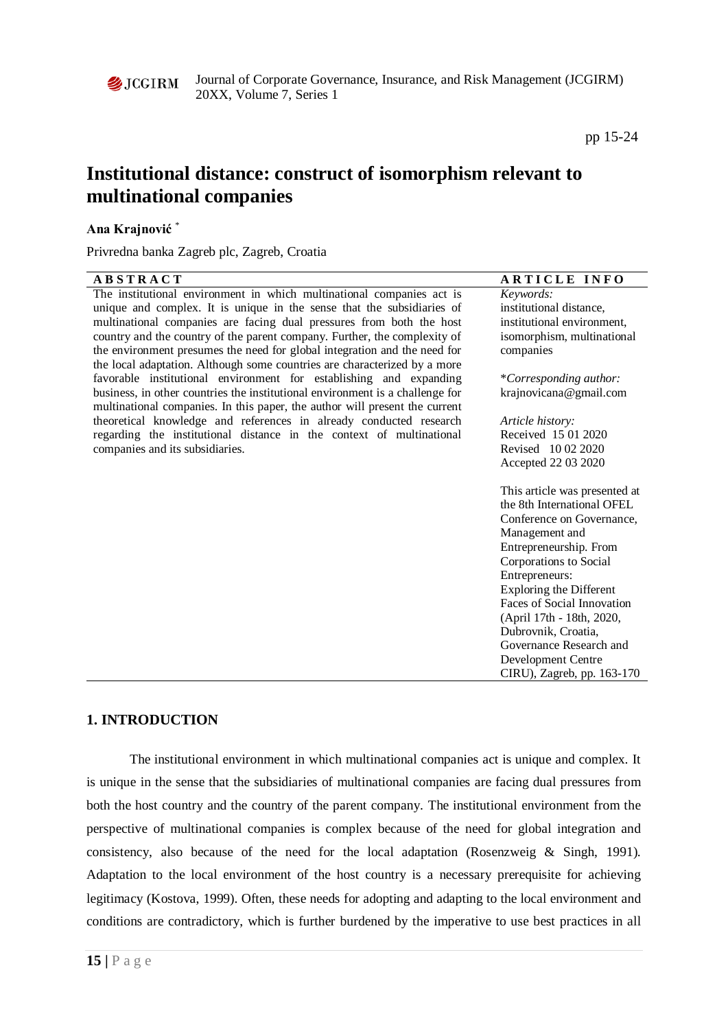

pp 15-24

# **Institutional distance: construct of isomorphism relevant to multinational companies**

## **Ana Krajnović** \*

Privredna banka Zagreb plc, Zagreb, Croatia

| <b>ABSTRACT</b>                                                                                                                                              | <b>ARTICLE INFO</b>            |
|--------------------------------------------------------------------------------------------------------------------------------------------------------------|--------------------------------|
| The institutional environment in which multinational companies act is                                                                                        | Keywords:                      |
| unique and complex. It is unique in the sense that the subsidiaries of                                                                                       | institutional distance,        |
| multinational companies are facing dual pressures from both the host                                                                                         | institutional environment,     |
| country and the country of the parent company. Further, the complexity of                                                                                    | isomorphism, multinational     |
| the environment presumes the need for global integration and the need for                                                                                    | companies                      |
| the local adaptation. Although some countries are characterized by a more                                                                                    |                                |
| favorable institutional environment for establishing and expanding                                                                                           | *Corresponding author:         |
| business, in other countries the institutional environment is a challenge for<br>multinational companies. In this paper, the author will present the current | krajnovicana@gmail.com         |
| theoretical knowledge and references in already conducted research                                                                                           | Article history:               |
| regarding the institutional distance in the context of multinational                                                                                         | Received 15 01 2020            |
| companies and its subsidiaries.                                                                                                                              | Revised 10 02 2020             |
|                                                                                                                                                              | Accepted 22 03 2020            |
|                                                                                                                                                              | This article was presented at  |
|                                                                                                                                                              | the 8th International OFEL     |
|                                                                                                                                                              | Conference on Governance,      |
|                                                                                                                                                              | Management and                 |
|                                                                                                                                                              | Entrepreneurship. From         |
|                                                                                                                                                              | Corporations to Social         |
|                                                                                                                                                              | Entrepreneurs:                 |
|                                                                                                                                                              | <b>Exploring the Different</b> |
|                                                                                                                                                              | Faces of Social Innovation     |
|                                                                                                                                                              | (April 17th - 18th, 2020,      |
|                                                                                                                                                              | Dubrovnik, Croatia,            |
|                                                                                                                                                              | Governance Research and        |
|                                                                                                                                                              | Development Centre             |
|                                                                                                                                                              | CIRU), Zagreb, pp. 163-170     |

# **1. INTRODUCTION**

The institutional environment in which multinational companies act is unique and complex. It is unique in the sense that the subsidiaries of multinational companies are facing dual pressures from both the host country and the country of the parent company. The institutional environment from the perspective of multinational companies is complex because of the need for global integration and consistency, also because of the need for the local adaptation (Rosenzweig & Singh, 1991). Adaptation to the local environment of the host country is a necessary prerequisite for achieving legitimacy (Kostova, 1999). Often, these needs for adopting and adapting to the local environment and conditions are contradictory, which is further burdened by the imperative to use best practices in all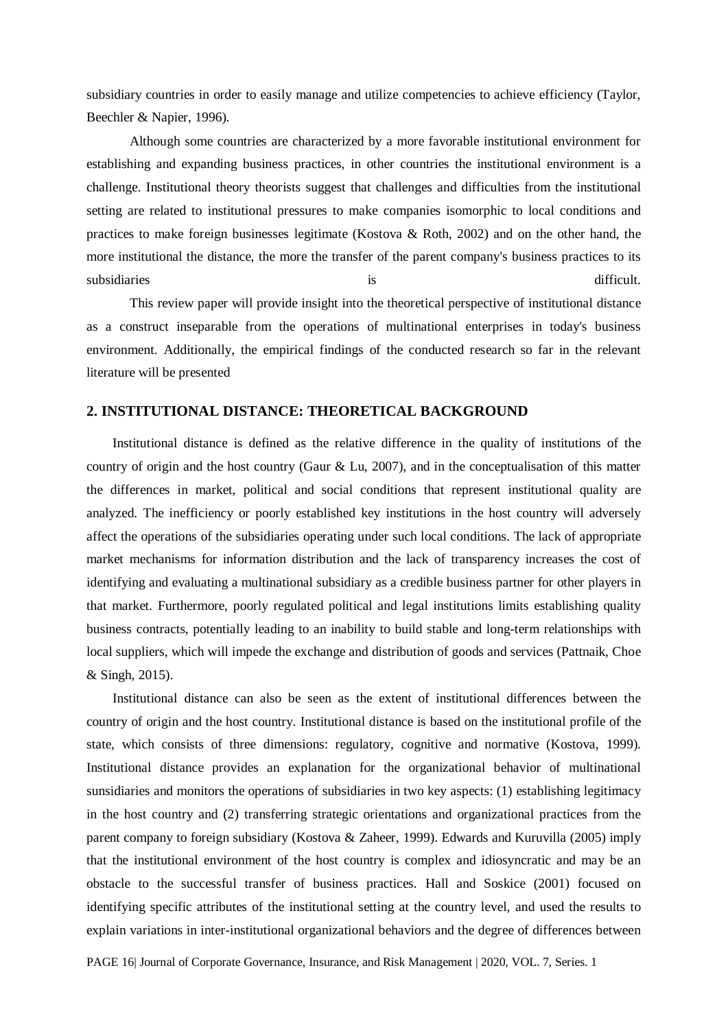subsidiary countries in order to easily manage and utilize competencies to achieve efficiency (Taylor, Beechler & Napier, 1996).

Although some countries are characterized by a more favorable institutional environment for establishing and expanding business practices, in other countries the institutional environment is a challenge. Institutional theory theorists suggest that challenges and difficulties from the institutional setting are related to institutional pressures to make companies isomorphic to local conditions and practices to make foreign businesses legitimate (Kostova & Roth, 2002) and on the other hand, the more institutional the distance, the more the transfer of the parent company's business practices to its subsidiaries is difficult.

This review paper will provide insight into the theoretical perspective of institutional distance as a construct inseparable from the operations of multinational enterprises in today's business environment. Additionally, the empirical findings of the conducted research so far in the relevant literature will be presented

#### **2. INSTITUTIONAL DISTANCE: THEORETICAL BACKGROUND**

Institutional distance is defined as the relative difference in the quality of institutions of the country of origin and the host country (Gaur & Lu, 2007), and in the conceptualisation of this matter the differences in market, political and social conditions that represent institutional quality are analyzed. The inefficiency or poorly established key institutions in the host country will adversely affect the operations of the subsidiaries operating under such local conditions. The lack of appropriate market mechanisms for information distribution and the lack of transparency increases the cost of identifying and evaluating a multinational subsidiary as a credible business partner for other players in that market. Furthermore, poorly regulated political and legal institutions limits establishing quality business contracts, potentially leading to an inability to build stable and long-term relationships with local suppliers, which will impede the exchange and distribution of goods and services (Pattnaik, Choe & Singh, 2015).

Institutional distance can also be seen as the extent of institutional differences between the country of origin and the host country. Institutional distance is based on the institutional profile of the state, which consists of three dimensions: regulatory, cognitive and normative (Kostova, 1999). Institutional distance provides an explanation for the organizational behavior of multinational sunsidiaries and monitors the operations of subsidiaries in two key aspects: (1) establishing legitimacy in the host country and (2) transferring strategic orientations and organizational practices from the parent company to foreign subsidiary (Kostova & Zaheer, 1999). Edwards and Kuruvilla (2005) imply that the institutional environment of the host country is complex and idiosyncratic and may be an obstacle to the successful transfer of business practices. Hall and Soskice (2001) focused on identifying specific attributes of the institutional setting at the country level, and used the results to explain variations in inter-institutional organizational behaviors and the degree of differences between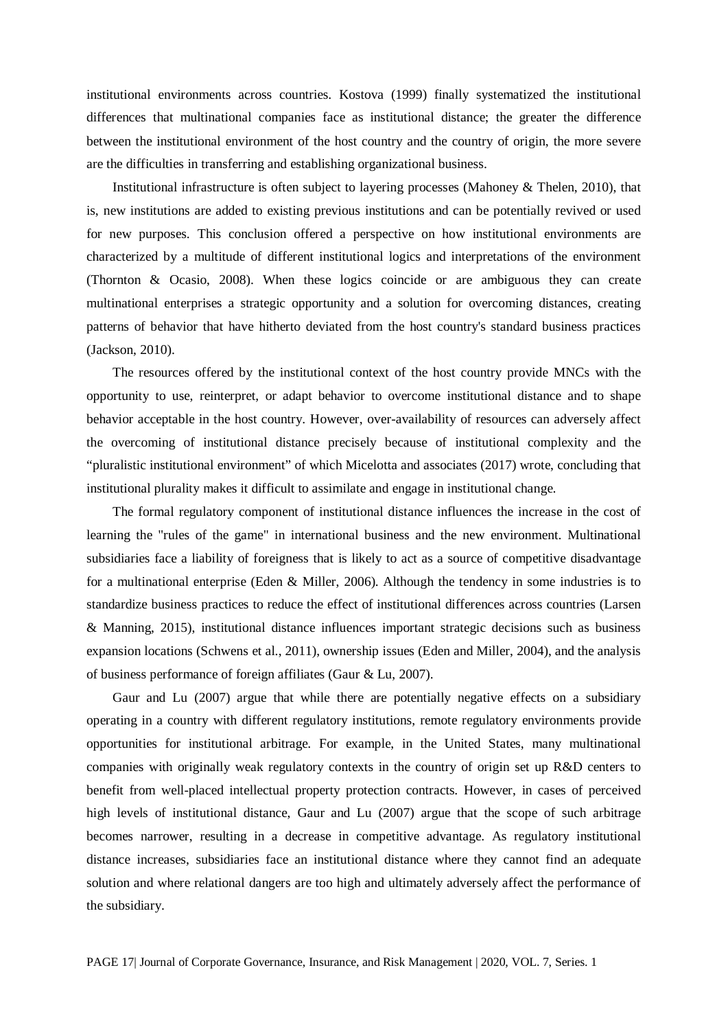institutional environments across countries. Kostova (1999) finally systematized the institutional differences that multinational companies face as institutional distance; the greater the difference between the institutional environment of the host country and the country of origin, the more severe are the difficulties in transferring and establishing organizational business.

Institutional infrastructure is often subject to layering processes (Mahoney & Thelen, 2010), that is, new institutions are added to existing previous institutions and can be potentially revived or used for new purposes. This conclusion offered a perspective on how institutional environments are characterized by a multitude of different institutional logics and interpretations of the environment (Thornton & Ocasio, 2008). When these logics coincide or are ambiguous they can create multinational enterprises a strategic opportunity and a solution for overcoming distances, creating patterns of behavior that have hitherto deviated from the host country's standard business practices (Jackson, 2010).

The resources offered by the institutional context of the host country provide MNCs with the opportunity to use, reinterpret, or adapt behavior to overcome institutional distance and to shape behavior acceptable in the host country. However, over-availability of resources can adversely affect the overcoming of institutional distance precisely because of institutional complexity and the "pluralistic institutional environment" of which Micelotta and associates (2017) wrote, concluding that institutional plurality makes it difficult to assimilate and engage in institutional change.

The formal regulatory component of institutional distance influences the increase in the cost of learning the "rules of the game" in international business and the new environment. Multinational subsidiaries face a liability of foreigness that is likely to act as a source of competitive disadvantage for a multinational enterprise (Eden & Miller, 2006). Although the tendency in some industries is to standardize business practices to reduce the effect of institutional differences across countries (Larsen & Manning, 2015), institutional distance influences important strategic decisions such as business expansion locations (Schwens et al., 2011), ownership issues (Eden and Miller, 2004), and the analysis of business performance of foreign affiliates (Gaur & Lu, 2007).

Gaur and Lu (2007) argue that while there are potentially negative effects on a subsidiary operating in a country with different regulatory institutions, remote regulatory environments provide opportunities for institutional arbitrage. For example, in the United States, many multinational companies with originally weak regulatory contexts in the country of origin set up R&D centers to benefit from well-placed intellectual property protection contracts. However, in cases of perceived high levels of institutional distance, Gaur and Lu (2007) argue that the scope of such arbitrage becomes narrower, resulting in a decrease in competitive advantage. As regulatory institutional distance increases, subsidiaries face an institutional distance where they cannot find an adequate solution and where relational dangers are too high and ultimately adversely affect the performance of the subsidiary.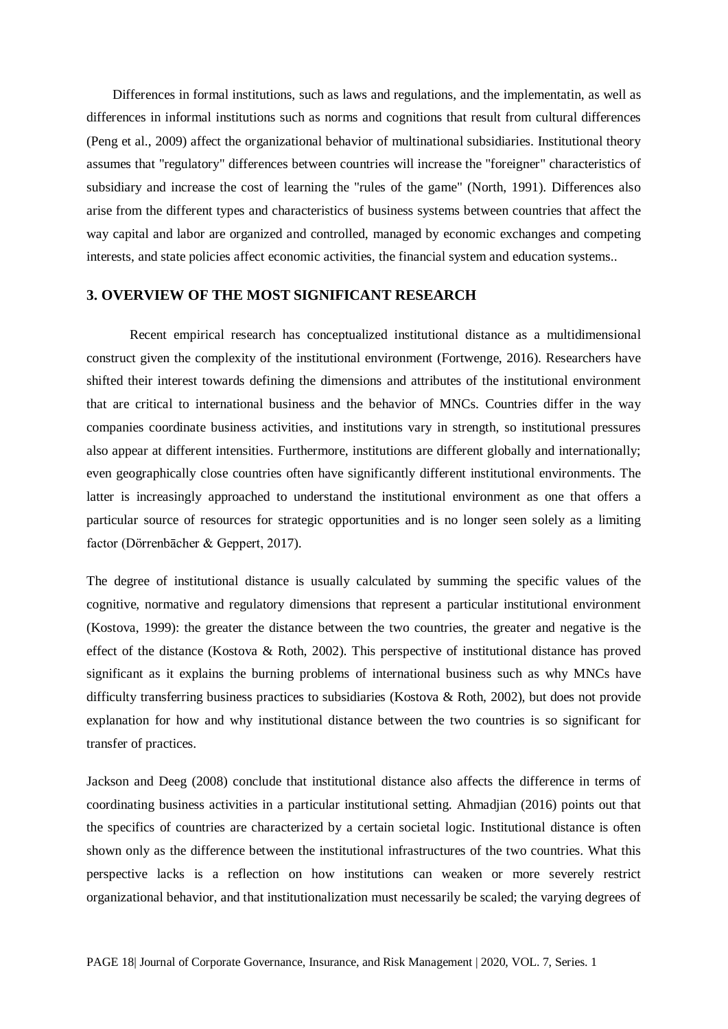Differences in formal institutions, such as laws and regulations, and the implementatin, as well as differences in informal institutions such as norms and cognitions that result from cultural differences (Peng et al., 2009) affect the organizational behavior of multinational subsidiaries. Institutional theory assumes that "regulatory" differences between countries will increase the "foreigner" characteristics of subsidiary and increase the cost of learning the "rules of the game" (North, 1991). Differences also arise from the different types and characteristics of business systems between countries that affect the way capital and labor are organized and controlled, managed by economic exchanges and competing interests, and state policies affect economic activities, the financial system and education systems..

### **3. OVERVIEW OF THE MOST SIGNIFICANT RESEARCH**

Recent empirical research has conceptualized institutional distance as a multidimensional construct given the complexity of the institutional environment (Fortwenge, 2016). Researchers have shifted their interest towards defining the dimensions and attributes of the institutional environment that are critical to international business and the behavior of MNCs. Countries differ in the way companies coordinate business activities, and institutions vary in strength, so institutional pressures also appear at different intensities. Furthermore, institutions are different globally and internationally; even geographically close countries often have significantly different institutional environments. The latter is increasingly approached to understand the institutional environment as one that offers a particular source of resources for strategic opportunities and is no longer seen solely as a limiting factor (Dörrenbācher & Geppert, 2017).

The degree of institutional distance is usually calculated by summing the specific values of the cognitive, normative and regulatory dimensions that represent a particular institutional environment (Kostova, 1999): the greater the distance between the two countries, the greater and negative is the effect of the distance (Kostova & Roth, 2002). This perspective of institutional distance has proved significant as it explains the burning problems of international business such as why MNCs have difficulty transferring business practices to subsidiaries (Kostova & Roth, 2002), but does not provide explanation for how and why institutional distance between the two countries is so significant for transfer of practices.

Jackson and Deeg (2008) conclude that institutional distance also affects the difference in terms of coordinating business activities in a particular institutional setting. Ahmadjian (2016) points out that the specifics of countries are characterized by a certain societal logic. Institutional distance is often shown only as the difference between the institutional infrastructures of the two countries. What this perspective lacks is a reflection on how institutions can weaken or more severely restrict organizational behavior, and that institutionalization must necessarily be scaled; the varying degrees of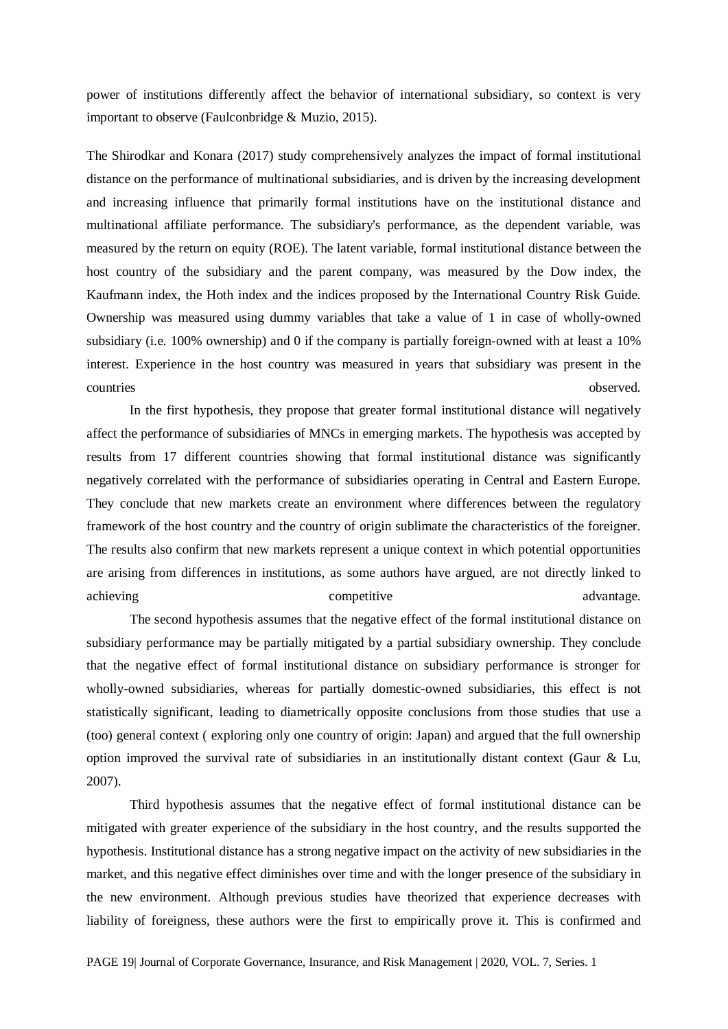power of institutions differently affect the behavior of international subsidiary, so context is very important to observe (Faulconbridge & Muzio, 2015).

The Shirodkar and Konara (2017) study comprehensively analyzes the impact of formal institutional distance on the performance of multinational subsidiaries, and is driven by the increasing development and increasing influence that primarily formal institutions have on the institutional distance and multinational affiliate performance. The subsidiary's performance, as the dependent variable, was measured by the return on equity (ROE). The latent variable, formal institutional distance between the host country of the subsidiary and the parent company, was measured by the Dow index, the Kaufmann index, the Hoth index and the indices proposed by the International Country Risk Guide. Ownership was measured using dummy variables that take a value of 1 in case of wholly-owned subsidiary (i.e. 100% ownership) and 0 if the company is partially foreign-owned with at least a 10% interest. Experience in the host country was measured in years that subsidiary was present in the countries observed.

In the first hypothesis, they propose that greater formal institutional distance will negatively affect the performance of subsidiaries of MNCs in emerging markets. The hypothesis was accepted by results from 17 different countries showing that formal institutional distance was significantly negatively correlated with the performance of subsidiaries operating in Central and Eastern Europe. They conclude that new markets create an environment where differences between the regulatory framework of the host country and the country of origin sublimate the characteristics of the foreigner. The results also confirm that new markets represent a unique context in which potential opportunities are arising from differences in institutions, as some authors have argued, are not directly linked to achieving competitive advantage.

The second hypothesis assumes that the negative effect of the formal institutional distance on subsidiary performance may be partially mitigated by a partial subsidiary ownership. They conclude that the negative effect of formal institutional distance on subsidiary performance is stronger for wholly-owned subsidiaries, whereas for partially domestic-owned subsidiaries, this effect is not statistically significant, leading to diametrically opposite conclusions from those studies that use a (too) general context ( exploring only one country of origin: Japan) and argued that the full ownership option improved the survival rate of subsidiaries in an institutionally distant context (Gaur & Lu, 2007).

Third hypothesis assumes that the negative effect of formal institutional distance can be mitigated with greater experience of the subsidiary in the host country, and the results supported the hypothesis. Institutional distance has a strong negative impact on the activity of new subsidiaries in the market, and this negative effect diminishes over time and with the longer presence of the subsidiary in the new environment. Although previous studies have theorized that experience decreases with liability of foreigness, these authors were the first to empirically prove it. This is confirmed and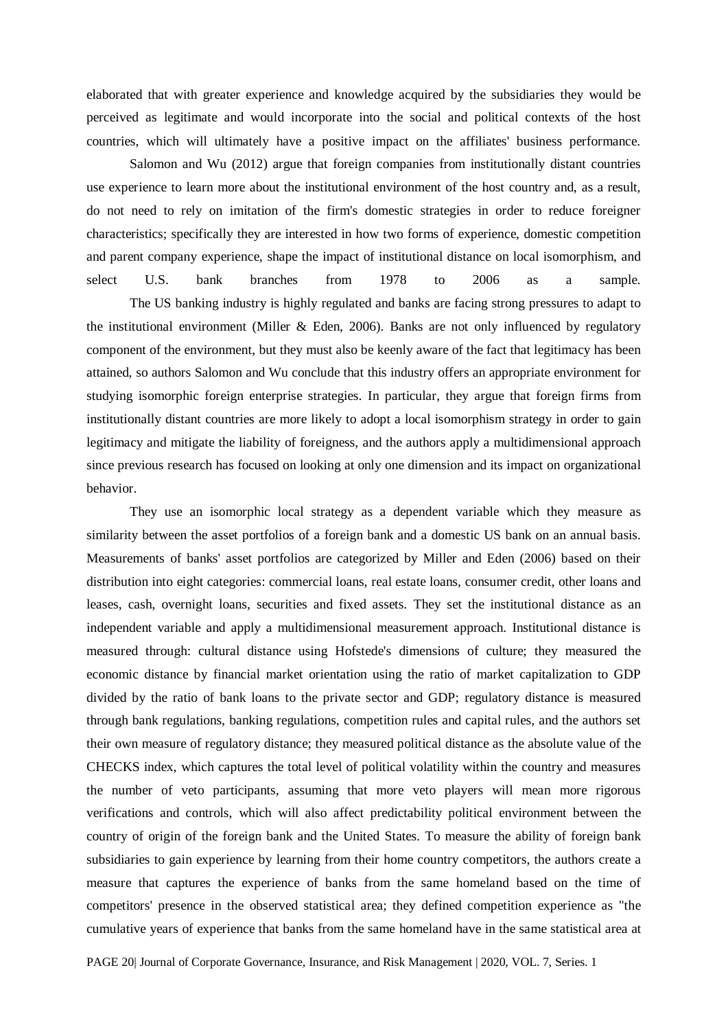elaborated that with greater experience and knowledge acquired by the subsidiaries they would be perceived as legitimate and would incorporate into the social and political contexts of the host countries, which will ultimately have a positive impact on the affiliates' business performance.

Salomon and Wu (2012) argue that foreign companies from institutionally distant countries use experience to learn more about the institutional environment of the host country and, as a result, do not need to rely on imitation of the firm's domestic strategies in order to reduce foreigner characteristics; specifically they are interested in how two forms of experience, domestic competition and parent company experience, shape the impact of institutional distance on local isomorphism, and select U.S. bank branches from 1978 to 2006 as a sample.

The US banking industry is highly regulated and banks are facing strong pressures to adapt to the institutional environment (Miller & Eden, 2006). Banks are not only influenced by regulatory component of the environment, but they must also be keenly aware of the fact that legitimacy has been attained, so authors Salomon and Wu conclude that this industry offers an appropriate environment for studying isomorphic foreign enterprise strategies. In particular, they argue that foreign firms from institutionally distant countries are more likely to adopt a local isomorphism strategy in order to gain legitimacy and mitigate the liability of foreigness, and the authors apply a multidimensional approach since previous research has focused on looking at only one dimension and its impact on organizational behavior.

They use an isomorphic local strategy as a dependent variable which they measure as similarity between the asset portfolios of a foreign bank and a domestic US bank on an annual basis. Measurements of banks' asset portfolios are categorized by Miller and Eden (2006) based on their distribution into eight categories: commercial loans, real estate loans, consumer credit, other loans and leases, cash, overnight loans, securities and fixed assets. They set the institutional distance as an independent variable and apply a multidimensional measurement approach. Institutional distance is measured through: cultural distance using Hofstede's dimensions of culture; they measured the economic distance by financial market orientation using the ratio of market capitalization to GDP divided by the ratio of bank loans to the private sector and GDP; regulatory distance is measured through bank regulations, banking regulations, competition rules and capital rules, and the authors set their own measure of regulatory distance; they measured political distance as the absolute value of the CHECKS index, which captures the total level of political volatility within the country and measures the number of veto participants, assuming that more veto players will mean more rigorous verifications and controls, which will also affect predictability political environment between the country of origin of the foreign bank and the United States. To measure the ability of foreign bank subsidiaries to gain experience by learning from their home country competitors, the authors create a measure that captures the experience of banks from the same homeland based on the time of competitors' presence in the observed statistical area; they defined competition experience as "the cumulative years of experience that banks from the same homeland have in the same statistical area at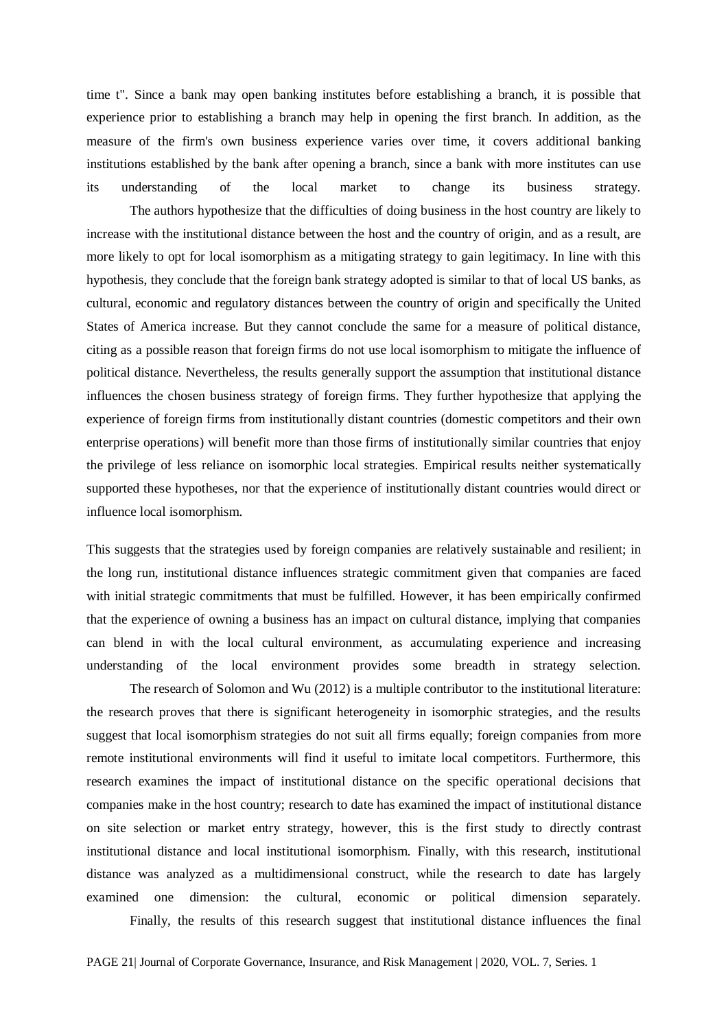time t". Since a bank may open banking institutes before establishing a branch, it is possible that experience prior to establishing a branch may help in opening the first branch. In addition, as the measure of the firm's own business experience varies over time, it covers additional banking institutions established by the bank after opening a branch, since a bank with more institutes can use its understanding of the local market to change its business strategy.

The authors hypothesize that the difficulties of doing business in the host country are likely to increase with the institutional distance between the host and the country of origin, and as a result, are more likely to opt for local isomorphism as a mitigating strategy to gain legitimacy. In line with this hypothesis, they conclude that the foreign bank strategy adopted is similar to that of local US banks, as cultural, economic and regulatory distances between the country of origin and specifically the United States of America increase. But they cannot conclude the same for a measure of political distance, citing as a possible reason that foreign firms do not use local isomorphism to mitigate the influence of political distance. Nevertheless, the results generally support the assumption that institutional distance influences the chosen business strategy of foreign firms. They further hypothesize that applying the experience of foreign firms from institutionally distant countries (domestic competitors and their own enterprise operations) will benefit more than those firms of institutionally similar countries that enjoy the privilege of less reliance on isomorphic local strategies. Empirical results neither systematically supported these hypotheses, nor that the experience of institutionally distant countries would direct or influence local isomorphism.

This suggests that the strategies used by foreign companies are relatively sustainable and resilient; in the long run, institutional distance influences strategic commitment given that companies are faced with initial strategic commitments that must be fulfilled. However, it has been empirically confirmed that the experience of owning a business has an impact on cultural distance, implying that companies can blend in with the local cultural environment, as accumulating experience and increasing understanding of the local environment provides some breadth in strategy selection.

The research of Solomon and Wu (2012) is a multiple contributor to the institutional literature: the research proves that there is significant heterogeneity in isomorphic strategies, and the results suggest that local isomorphism strategies do not suit all firms equally; foreign companies from more remote institutional environments will find it useful to imitate local competitors. Furthermore, this research examines the impact of institutional distance on the specific operational decisions that companies make in the host country; research to date has examined the impact of institutional distance on site selection or market entry strategy, however, this is the first study to directly contrast institutional distance and local institutional isomorphism. Finally, with this research, institutional distance was analyzed as a multidimensional construct, while the research to date has largely examined one dimension: the cultural, economic or political dimension separately.

Finally, the results of this research suggest that institutional distance influences the final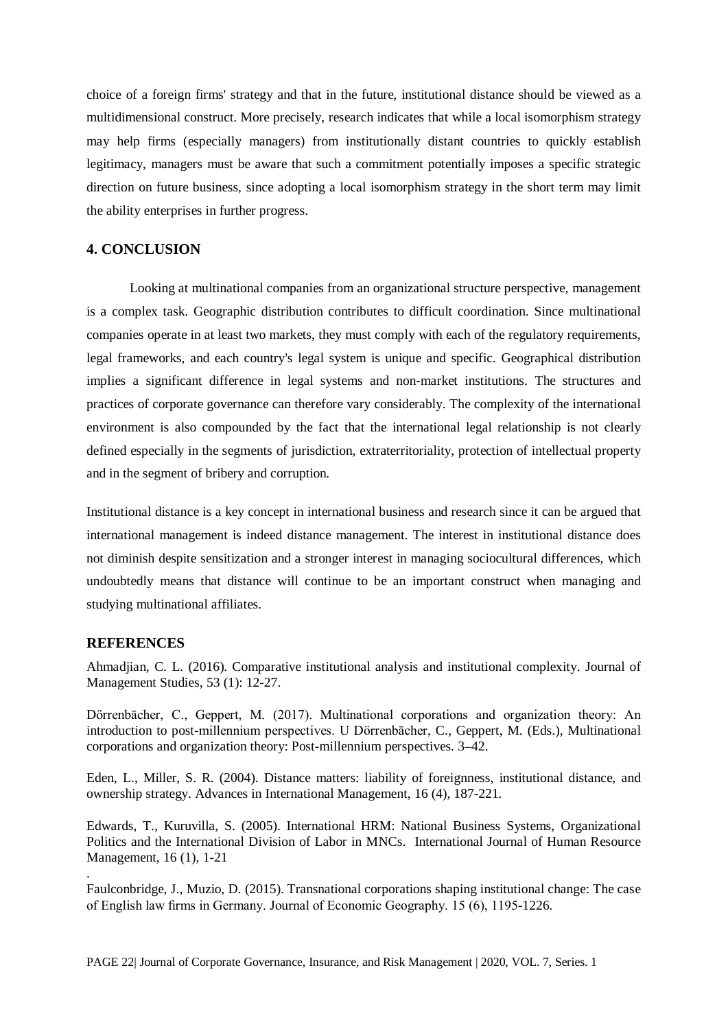choice of a foreign firms' strategy and that in the future, institutional distance should be viewed as a multidimensional construct. More precisely, research indicates that while a local isomorphism strategy may help firms (especially managers) from institutionally distant countries to quickly establish legitimacy, managers must be aware that such a commitment potentially imposes a specific strategic direction on future business, since adopting a local isomorphism strategy in the short term may limit the ability enterprises in further progress.

# **4. CONCLUSION**

Looking at multinational companies from an organizational structure perspective, management is a complex task. Geographic distribution contributes to difficult coordination. Since multinational companies operate in at least two markets, they must comply with each of the regulatory requirements, legal frameworks, and each country's legal system is unique and specific. Geographical distribution implies a significant difference in legal systems and non-market institutions. The structures and practices of corporate governance can therefore vary considerably. The complexity of the international environment is also compounded by the fact that the international legal relationship is not clearly defined especially in the segments of jurisdiction, extraterritoriality, protection of intellectual property and in the segment of bribery and corruption.

Institutional distance is a key concept in international business and research since it can be argued that international management is indeed distance management. The interest in institutional distance does not diminish despite sensitization and a stronger interest in managing sociocultural differences, which undoubtedly means that distance will continue to be an important construct when managing and studying multinational affiliates.

## **REFERENCES**

.

Ahmadjian, C. L. (2016). Comparative institutional analysis and institutional complexity. Journal of Management Studies, 53 (1): 12-27.

Dörrenbācher, C., Geppert, M. (2017). Multinational corporations and organization theory: An introduction to post-millennium perspectives. U Dörrenbācher, C., Geppert, M. (Eds.), Multinational corporations and organization theory: Post-millennium perspectives. 3–42.

Eden, L., Miller, S. R. (2004). Distance matters: liability of foreignness, institutional distance, and ownership strategy. Advances in International Management, 16 (4), 187-221.

Edwards, T., Kuruvilla, S. (2005). International HRM: National Business Systems, Organizational Politics and the International Division of Labor in MNCs. International Journal of Human Resource Management, 16 (1), 1-21

Faulconbridge, J., Muzio, D. (2015). Transnational corporations shaping institutional change: The case of English law firms in Germany. Journal of Economic Geography. 15 (6), 1195-1226.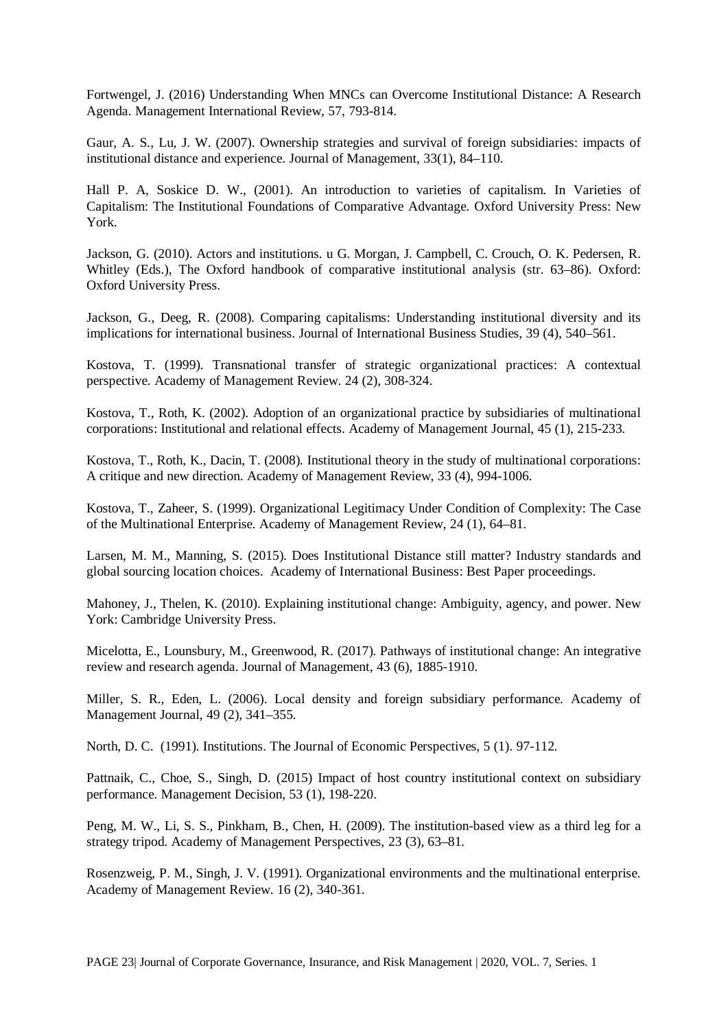Fortwengel, J. (2016) Understanding When MNCs can Overcome Institutional Distance: A Research Agenda. Management International Review, 57, 793-814.

Gaur, A. S., Lu, J. W. (2007). Ownership strategies and survival of foreign subsidiaries: impacts of institutional distance and experience. Journal of Management, 33(1), 84–110.

Hall P. A, Soskice D. W., (2001). An introduction to varieties of capitalism. In Varieties of Capitalism: The Institutional Foundations of Comparative Advantage. Oxford University Press: New York.

Jackson, G. (2010). Actors and institutions. u G. Morgan, J. Campbell, C. Crouch, O. K. Pedersen, R. Whitley (Eds.), The Oxford handbook of comparative institutional analysis (str. 63–86). Oxford: Oxford University Press.

Jackson, G., Deeg, R. (2008). Comparing capitalisms: Understanding institutional diversity and its implications for international business. Journal of International Business Studies, 39 (4), 540–561.

Kostova, T. (1999). Transnational transfer of strategic organizational practices: A contextual perspective. Academy of Management Review. 24 (2), 308-324.

Kostova, T., Roth, K. (2002). Adoption of an organizational practice by subsidiaries of multinational corporations: Institutional and relational effects. Academy of Management Journal, 45 (1), 215-233.

Kostova, T., Roth, K., Dacin, T. (2008). Institutional theory in the study of multinational corporations: A critique and new direction. Academy of Management Review, 33 (4), 994-1006.

Kostova, T., Zaheer, S. (1999). Organizational Legitimacy Under Condition of Complexity: The Case of the Multinational Enterprise. Academy of Management Review, 24 (1), 64–81.

Larsen, M. M., Manning, S. (2015). Does Institutional Distance still matter? Industry standards and global sourcing location choices. Academy of International Business: Best Paper proceedings.

Mahoney, J., Thelen, K. (2010). Explaining institutional change: Ambiguity, agency, and power. New York: Cambridge University Press.

Micelotta, E., Lounsbury, M., Greenwood, R. (2017). Pathways of institutional change: An integrative review and research agenda. Journal of Management, 43 (6), 1885-1910.

Miller, S. R., Eden, L. (2006). Local density and foreign subsidiary performance. Academy of Management Journal, 49 (2), 341–355.

North, D. C. (1991). Institutions. The Journal of Economic Perspectives, 5 (1). 97-112.

Pattnaik, C., Choe, S., Singh, D. (2015) Impact of host country institutional context on subsidiary performance. Management Decision, 53 (1), 198-220.

Peng, M. W., Li, S. S., Pinkham, B., Chen, H. (2009). The institution-based view as a third leg for a strategy tripod. Academy of Management Perspectives, 23 (3), 63–81.

Rosenzweig, P. M., Singh, J. V. (1991). Organizational environments and the multinational enterprise. Academy of Management Review. 16 (2), 340-361.